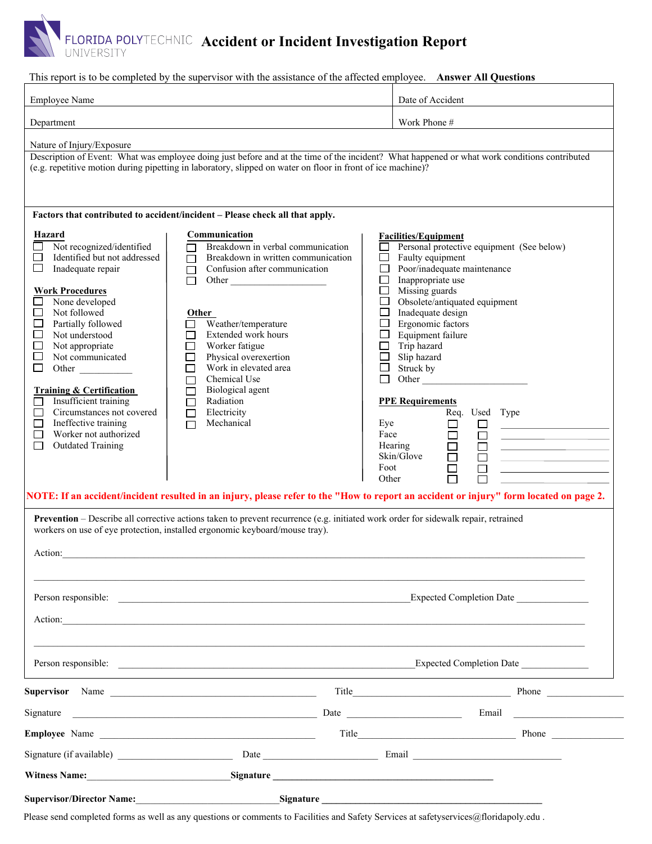## **Accident or Incident Investigation Report**

This report is to be completed by the supervisor with the assistance of the affected employee. **Answer All Questions**

| <b>Employee Name</b>                                                                                                                                                                                                                                                                     |                                                                                                                                                                                                                                                                                                                                                                                                                                                                                                                                                                                          | Date of Accident                                                                                                                                                                                                            |                                                                                                                                                                                                                                                                         |  |
|------------------------------------------------------------------------------------------------------------------------------------------------------------------------------------------------------------------------------------------------------------------------------------------|------------------------------------------------------------------------------------------------------------------------------------------------------------------------------------------------------------------------------------------------------------------------------------------------------------------------------------------------------------------------------------------------------------------------------------------------------------------------------------------------------------------------------------------------------------------------------------------|-----------------------------------------------------------------------------------------------------------------------------------------------------------------------------------------------------------------------------|-------------------------------------------------------------------------------------------------------------------------------------------------------------------------------------------------------------------------------------------------------------------------|--|
| Department                                                                                                                                                                                                                                                                               |                                                                                                                                                                                                                                                                                                                                                                                                                                                                                                                                                                                          |                                                                                                                                                                                                                             | Work Phone #                                                                                                                                                                                                                                                            |  |
| Nature of Injury/Exposure<br>Hazard<br>Not recognized/identified<br>Identified but not addressed<br>ப<br>ப<br>Inadequate repair<br><b>Work Procedures</b><br>None developed<br>Not followed<br>$\Box$<br>□<br>Partially followed<br>Not understood<br>$\Box$                             | Description of Event: What was employee doing just before and at the time of the incident? What happened or what work conditions contributed<br>(e.g. repetitive motion during pipetting in laboratory, slipped on water on floor in front of ice machine)?<br>Factors that contributed to accident/incident - Please check all that apply.<br>Communication<br>Breakdown in verbal communication<br>Breakdown in written communication<br>П<br>Confusion after communication<br>П<br>Other<br>П<br><b>Other</b><br>Weather/temperature<br>$\mathsf{L}$<br>Extended work hours<br>$\Box$ | <b>Facilities/Equipment</b><br>Faulty equipment<br>□<br>$\Box$<br>$\Box$<br>Inappropriate use<br>Missing guards<br>$\Box$<br>$\Box$<br>$\Box$<br>Inadequate design<br>Ergonomic factors<br>$\Box$<br>Equipment failure<br>□ | Personal protective equipment (See below)<br>Poor/inadequate maintenance<br>Obsolete/antiquated equipment                                                                                                                                                               |  |
| Not appropriate<br>□<br>Not communicated<br>$\Box$<br>□<br>Other<br><b>Training &amp; Certification</b><br>Insufficient training<br>Circumstances not covered<br>$\Box$<br>Ineffective training<br>$\Box$<br>Worker not authorized<br>$\Box$<br><b>Outdated Training</b><br><b>Tarat</b> | Worker fatigue<br>□<br>Physical overexertion<br>□<br>Work in elevated area<br>$\Box$<br>Chemical Use<br>$\Box$<br>Biological agent<br>$\Box$<br>Radiation<br>П<br>Electricity<br>П<br>Mechanical<br>П<br>NOTE: If an accident/incident resulted in an injury, please refer to the "How to report an accident or injury" form located on page 2.<br>Prevention - Describe all corrective actions taken to prevent recurrence (e.g. initiated work order for sidewalk repair, retrained                                                                                                    | Trip hazard<br>$\Box$<br>$\Box$<br>Slip hazard<br>Struck by<br>$\Box$<br><b>PPE Requirements</b><br>Eye<br>Face<br>Hearing<br>Skin/Glove<br>Foot<br>Other                                                                   | Other<br>Req. Used Type<br>$\Box$<br>$\Box$<br><u> The Communication of the Communication</u><br>$\Box$<br>$\Box$<br>the control of the control of the control of<br>$\Box$<br>$\Box$<br>$\Box$<br>$\Box$<br>the process of the control of the control of the<br>$\Box$ |  |
| Action:                                                                                                                                                                                                                                                                                  | workers on use of eye protection, installed ergonomic keyboard/mouse tray).                                                                                                                                                                                                                                                                                                                                                                                                                                                                                                              |                                                                                                                                                                                                                             |                                                                                                                                                                                                                                                                         |  |
|                                                                                                                                                                                                                                                                                          | Person responsible:<br>Action:                                                                                                                                                                                                                                                                                                                                                                                                                                                                                                                                                           |                                                                                                                                                                                                                             | <b>Expected Completion Date</b>                                                                                                                                                                                                                                         |  |
|                                                                                                                                                                                                                                                                                          |                                                                                                                                                                                                                                                                                                                                                                                                                                                                                                                                                                                          |                                                                                                                                                                                                                             |                                                                                                                                                                                                                                                                         |  |
|                                                                                                                                                                                                                                                                                          | Supervisor Name                                                                                                                                                                                                                                                                                                                                                                                                                                                                                                                                                                          |                                                                                                                                                                                                                             |                                                                                                                                                                                                                                                                         |  |
| Signature                                                                                                                                                                                                                                                                                |                                                                                                                                                                                                                                                                                                                                                                                                                                                                                                                                                                                          |                                                                                                                                                                                                                             |                                                                                                                                                                                                                                                                         |  |
|                                                                                                                                                                                                                                                                                          |                                                                                                                                                                                                                                                                                                                                                                                                                                                                                                                                                                                          |                                                                                                                                                                                                                             |                                                                                                                                                                                                                                                                         |  |
|                                                                                                                                                                                                                                                                                          |                                                                                                                                                                                                                                                                                                                                                                                                                                                                                                                                                                                          |                                                                                                                                                                                                                             |                                                                                                                                                                                                                                                                         |  |
|                                                                                                                                                                                                                                                                                          | Witness Name: Signature Signature Signature Signature Signature Signature Signature Signature Signature Signature Signature Signature Signature Signature Signature Signature Signature Signature Signature Signature Signatur                                                                                                                                                                                                                                                                                                                                                           |                                                                                                                                                                                                                             |                                                                                                                                                                                                                                                                         |  |
| <b>Supervisor/Director Name:</b>                                                                                                                                                                                                                                                         | Signature                                                                                                                                                                                                                                                                                                                                                                                                                                                                                                                                                                                |                                                                                                                                                                                                                             |                                                                                                                                                                                                                                                                         |  |

Please send completed forms as well as any questions or comments to Facilities and Safety Services at safetyservices@floridapoly.edu .